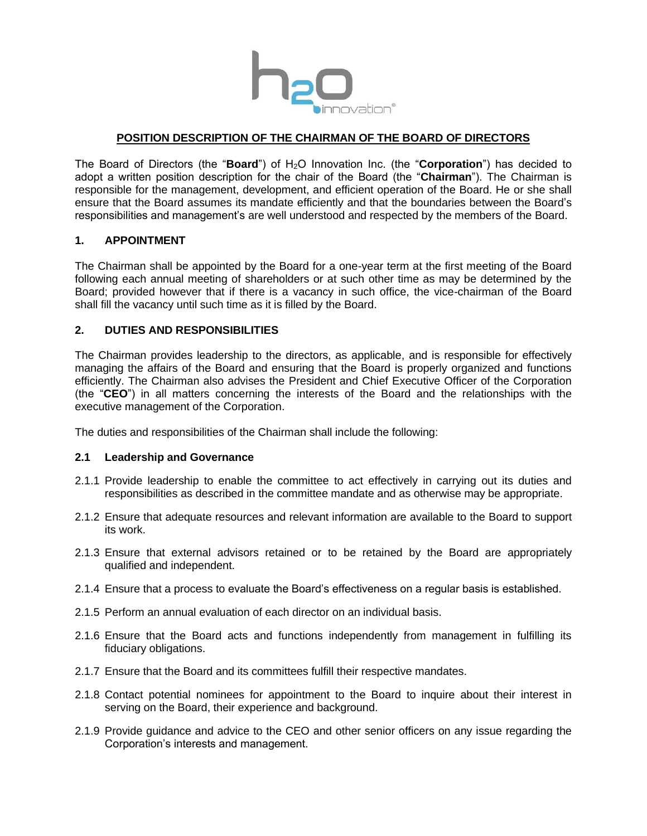

# **POSITION DESCRIPTION OF THE CHAIRMAN OF THE BOARD OF DIRECTORS**

The Board of Directors (the "**Board**") of H2O Innovation Inc. (the "**Corporation**") has decided to adopt a written position description for the chair of the Board (the "**Chairman**"). The Chairman is responsible for the management, development, and efficient operation of the Board. He or she shall ensure that the Board assumes its mandate efficiently and that the boundaries between the Board's responsibilities and management's are well understood and respected by the members of the Board.

### **1. APPOINTMENT**

The Chairman shall be appointed by the Board for a one-year term at the first meeting of the Board following each annual meeting of shareholders or at such other time as may be determined by the Board; provided however that if there is a vacancy in such office, the vice-chairman of the Board shall fill the vacancy until such time as it is filled by the Board.

### **2. DUTIES AND RESPONSIBILITIES**

The Chairman provides leadership to the directors, as applicable, and is responsible for effectively managing the affairs of the Board and ensuring that the Board is properly organized and functions efficiently. The Chairman also advises the President and Chief Executive Officer of the Corporation (the "**CEO**") in all matters concerning the interests of the Board and the relationships with the executive management of the Corporation.

The duties and responsibilities of the Chairman shall include the following:

### **2.1 Leadership and Governance**

- 2.1.1 Provide leadership to enable the committee to act effectively in carrying out its duties and responsibilities as described in the committee mandate and as otherwise may be appropriate.
- 2.1.2 Ensure that adequate resources and relevant information are available to the Board to support its work.
- 2.1.3 Ensure that external advisors retained or to be retained by the Board are appropriately qualified and independent.
- 2.1.4 Ensure that a process to evaluate the Board's effectiveness on a regular basis is established.
- 2.1.5 Perform an annual evaluation of each director on an individual basis.
- 2.1.6 Ensure that the Board acts and functions independently from management in fulfilling its fiduciary obligations.
- 2.1.7 Ensure that the Board and its committees fulfill their respective mandates.
- 2.1.8 Contact potential nominees for appointment to the Board to inquire about their interest in serving on the Board, their experience and background.
- 2.1.9 Provide guidance and advice to the CEO and other senior officers on any issue regarding the Corporation's interests and management.